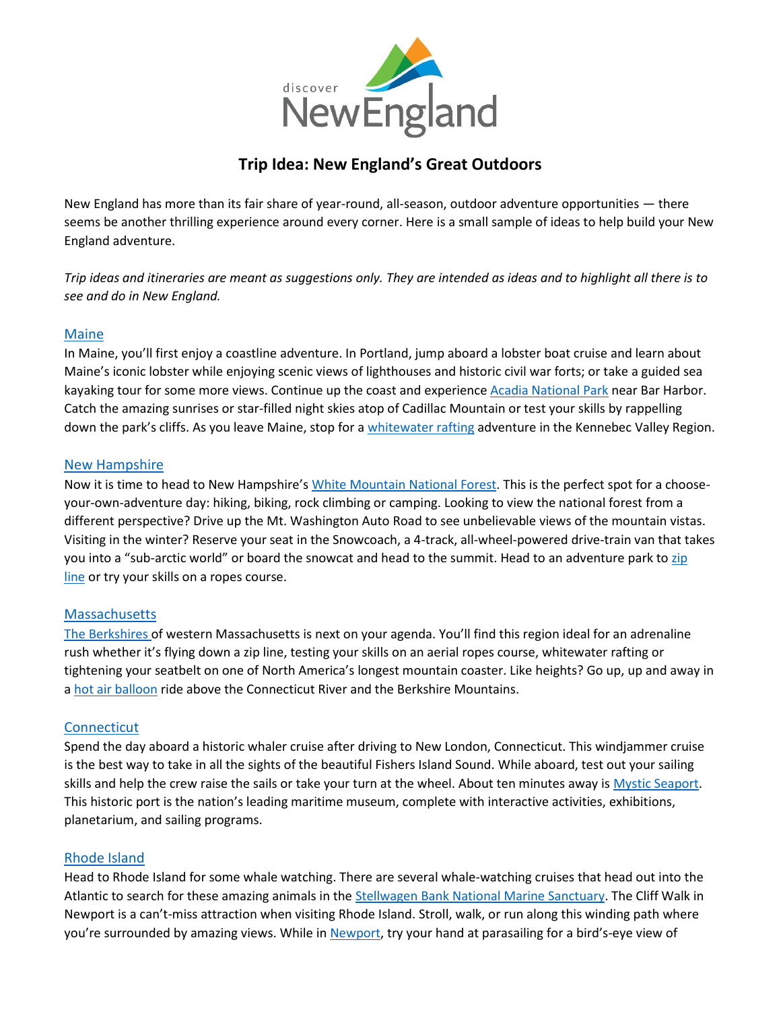

# **Trip Idea: New England's Great Outdoors**

New England has more than its fair share of year-round, all-season, outdoor adventure opportunities — there seems be another thrilling experience around every corner. Here is a small sample of ideas to help build your New England adventure.

*Trip ideas and itineraries are meant as suggestions only. They are intended as ideas and to highlight all there is to see and do in New England.*

### [Maine](https://visitmaine.com/things-to-do/outdoors-adventure/)

In Maine, you'll first enjoy a coastline adventure. In Portland, jump aboard a lobster boat cruise and learn about Maine's iconic lobster while enjoying scenic views of lighthouses and historic civil war forts; or take a guided sea kayaking tour for some more views. Continue up the coast and experienc[e Acadia National Park](https://visitmaine.com/things-to-do/parks-natural-attractions/acadia-national-park) near Bar Harbor. Catch the amazing sunrises or star-filled night skies atop of Cadillac Mountain or test your skills by rappelling down the park's cliffs. As you leave Maine, stop for a [whitewater rafting](https://visitmaine.com/things-to-do/on-the-water/rafting-kennebec-river) adventure in the Kennebec Valley Region.

### [New Hampshire](https://www.visitnh.gov/things-to-do/recreation)

Now it is time to head to New Hampshire's [White Mountain National Forest.](http://www.fs.usda.gov/whitemountain) This is the perfect spot for a chooseyour-own-adventure day: hiking, biking, rock climbing or camping. Looking to view the national forest from a different perspective? Drive up the Mt. Washington Auto Road to see unbelievable views of the mountain vistas. Visiting in the winter? Reserve your seat in the Snowcoach, a 4-track, all-wheel-powered drive-train van that takes you into a "sub-arctic world" or board the snowcat and head to the summit. Head to an adventure park to [zip](https://www.visitnh.gov/things-to-do/recreation/ziplining)  [line](https://www.visitnh.gov/things-to-do/recreation/ziplining) or try your skills on a ropes course.

### **[Massachusetts](https://www.massvacation.com/explore/outdoors/)**

[The Berkshires](https://berkshires.org/) of western Massachusetts is next on your agenda. You'll find this region ideal for an adrenaline rush whether it's flying down a zip line, testing your skills on an aerial ropes course, whitewater rafting or tightening your seatbelt on one of North America's longest mountain coaster. Like heights? Go up, up and away in a [hot air balloon](https://www.spiritballooning.com/) ride above the Connecticut River and the Berkshire Mountains.

### **[Connecticut](http://www.ctvisit.com/interest/nature-outdoors)**

Spend the day aboard a historic whaler cruise after driving to New London, Connecticut. This windjammer cruise is the best way to take in all the sights of the beautiful Fishers Island Sound. While aboard, test out your sailing skills and help the crew raise the sails or take your turn at the wheel. About ten minutes away is [Mystic Seaport.](https://www.ctvisit.com/listings/mystic-seaport) This historic port is the nation's leading maritime museum, complete with interactive activities, exhibitions, planetarium, and sailing programs.

### [Rhode Island](https://www.visitrhodeisland.com/what-to-do/)

Head to Rhode Island for some whale watching. There are several whale-watching cruises that head out into the Atlantic to search for these amazing animals in th[e Stellwagen Bank National Marine Sanctuary.](https://oceanservice.noaa.gov/ocean/sanctuaries/stellwagen.html) The Cliff Walk in Newport is a can't-miss attraction when visiting Rhode Island. Stroll, walk, or run along this winding path where you're surrounded by amazing views. While in [Newport](https://www.discovernewport.org/), try your hand at parasailing for a bird's-eye view of